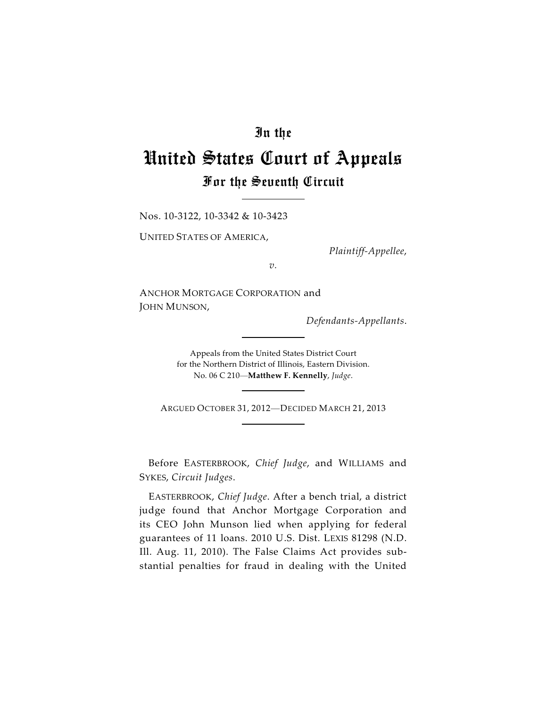## In the

## United States Court of Appeals For the Seventh Circuit

Nos. 10-3122, 10-3342 & 10-3423

UNITED STATES OF AMERICA,

*Plaintiff-Appellee*,

*v.*

ANCHOR MORTGAGE CORPORATION and JOHN MUNSON,

*Defendants-Appellants*.

Appeals from the United States District Court for the Northern District of Illinois, Eastern Division. No. 06 C 210—**Matthew F. Kennelly**, *Judge*.

ARGUED OCTOBER 31, 2012—DECIDED MARCH 21, 2013

Before EASTERBROOK, *Chief Judge*, and WILLIAMS and SYKES, *Circuit Judges*.

EASTERBROOK, *Chief Judge*. After a bench trial, a district judge found that Anchor Mortgage Corporation and its CEO John Munson lied when applying for federal guarantees of 11 loans. 2010 U.S. Dist. LEXIS 81298 (N.D. Ill. Aug. 11, 2010). The False Claims Act provides substantial penalties for fraud in dealing with the United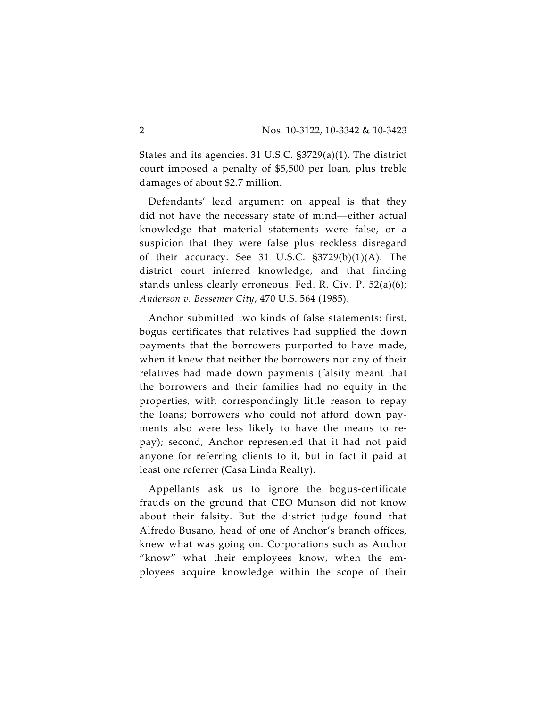States and its agencies. 31 U.S.C. §3729(a)(1). The district court imposed a penalty of \$5,500 per loan, plus treble damages of about \$2.7 million.

Defendants' lead argument on appeal is that they did not have the necessary state of mind—either actual knowledge that material statements were false, or a suspicion that they were false plus reckless disregard of their accuracy. See 31 U.S.C. §3729(b)(1)(A). The district court inferred knowledge, and that finding stands unless clearly erroneous. Fed. R. Civ. P. 52(a)(6); *Anderson v. Bessemer City*, 470 U.S. 564 (1985).

Anchor submitted two kinds of false statements: first, bogus certificates that relatives had supplied the down payments that the borrowers purported to have made, when it knew that neither the borrowers nor any of their relatives had made down payments (falsity meant that the borrowers and their families had no equity in the properties, with correspondingly little reason to repay the loans; borrowers who could not afford down payments also were less likely to have the means to repay); second, Anchor represented that it had not paid anyone for referring clients to it, but in fact it paid at least one referrer (Casa Linda Realty).

Appellants ask us to ignore the bogus-certificate frauds on the ground that CEO Munson did not know about their falsity. But the district judge found that Alfredo Busano, head of one of Anchor's branch offices, knew what was going on. Corporations such as Anchor "know" what their employees know, when the employees acquire knowledge within the scope of their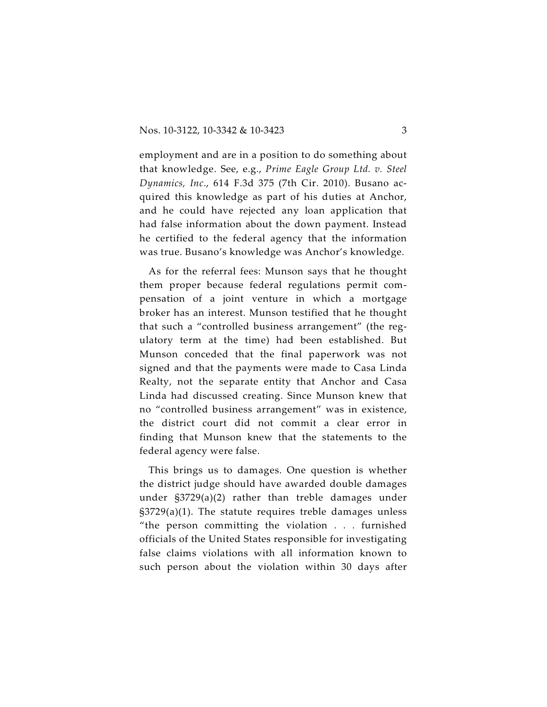employment and are in a position to do something about that knowledge. See, e.g., *Prime Eagle Group Ltd. v. Steel Dynamics, Inc*., 614 F.3d 375 (7th Cir. 2010). Busano acquired this knowledge as part of his duties at Anchor, and he could have rejected any loan application that had false information about the down payment. Instead he certified to the federal agency that the information was true. Busano's knowledge was Anchor's knowledge.

As for the referral fees: Munson says that he thought them proper because federal regulations permit compensation of a joint venture in which a mortgage broker has an interest. Munson testified that he thought that such a "controlled business arrangement" (the regulatory term at the time) had been established. But Munson conceded that the final paperwork was not signed and that the payments were made to Casa Linda Realty, not the separate entity that Anchor and Casa Linda had discussed creating. Since Munson knew that no "controlled business arrangement" was in existence, the district court did not commit a clear error in finding that Munson knew that the statements to the federal agency were false.

This brings us to damages. One question is whether the district judge should have awarded double damages under §3729(a)(2) rather than treble damages under §3729(a)(1). The statute requires treble damages unless "the person committing the violation . . . furnished officials of the United States responsible for investigating false claims violations with all information known to such person about the violation within 30 days after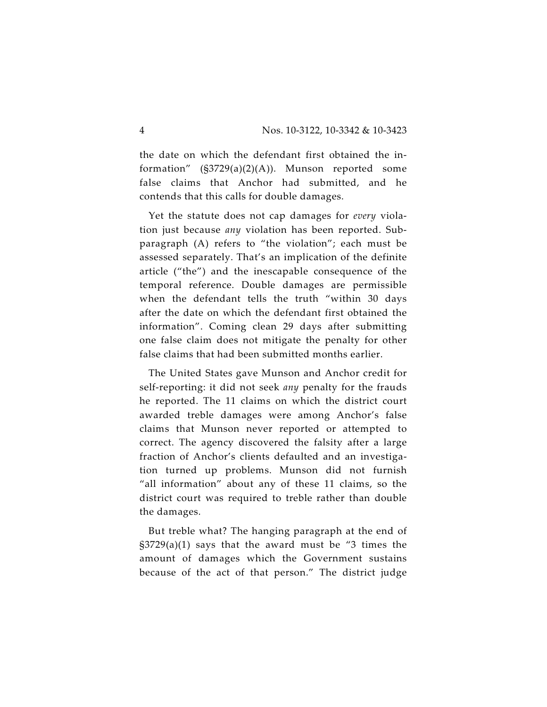the date on which the defendant first obtained the information" (§3729(a)(2)(A)). Munson reported some false claims that Anchor had submitted, and he contends that this calls for double damages.

Yet the statute does not cap damages for *every* violation just because *any* violation has been reported. Subparagraph (A) refers to "the violation"; each must be assessed separately. That's an implication of the definite article ("the") and the inescapable consequence of the temporal reference. Double damages are permissible when the defendant tells the truth "within 30 days after the date on which the defendant first obtained the information". Coming clean 29 days after submitting one false claim does not mitigate the penalty for other false claims that had been submitted months earlier.

The United States gave Munson and Anchor credit for self-reporting: it did not seek *any* penalty for the frauds he reported. The 11 claims on which the district court awarded treble damages were among Anchor's false claims that Munson never reported or attempted to correct. The agency discovered the falsity after a large fraction of Anchor's clients defaulted and an investigation turned up problems. Munson did not furnish "all information" about any of these 11 claims, so the district court was required to treble rather than double the damages.

But treble what? The hanging paragraph at the end of §3729(a)(1) says that the award must be "3 times the amount of damages which the Government sustains because of the act of that person." The district judge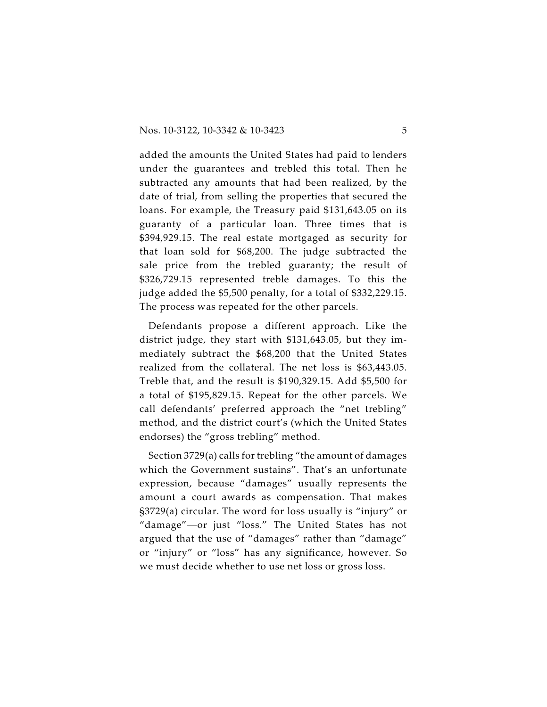added the amounts the United States had paid to lenders under the guarantees and trebled this total. Then he subtracted any amounts that had been realized, by the date of trial, from selling the properties that secured the loans. For example, the Treasury paid \$131,643.05 on its guaranty of a particular loan. Three times that is \$394,929.15. The real estate mortgaged as security for that loan sold for \$68,200. The judge subtracted the sale price from the trebled guaranty; the result of \$326,729.15 represented treble damages. To this the judge added the \$5,500 penalty, for a total of \$332,229.15. The process was repeated for the other parcels.

Defendants propose a different approach. Like the district judge, they start with \$131,643.05, but they immediately subtract the \$68,200 that the United States realized from the collateral. The net loss is \$63,443.05. Treble that, and the result is \$190,329.15. Add \$5,500 for a total of \$195,829.15. Repeat for the other parcels. We call defendants' preferred approach the "net trebling" method, and the district court's (which the United States endorses) the "gross trebling" method.

Section 3729(a) calls for trebling "the amount of damages which the Government sustains". That's an unfortunate expression, because "damages" usually represents the amount a court awards as compensation. That makes §3729(a) circular. The word for loss usually is "injury" or "damage"—or just "loss." The United States has not argued that the use of "damages" rather than "damage" or "injury" or "loss" has any significance, however. So we must decide whether to use net loss or gross loss.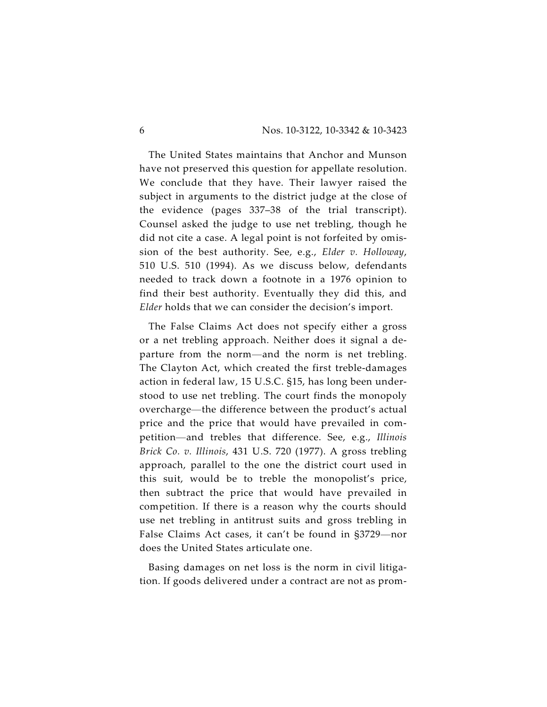The United States maintains that Anchor and Munson have not preserved this question for appellate resolution. We conclude that they have. Their lawyer raised the subject in arguments to the district judge at the close of the evidence (pages 337–38 of the trial transcript). Counsel asked the judge to use net trebling, though he did not cite a case. A legal point is not forfeited by omission of the best authority. See, e.g., *Elder v. Holloway*, 510 U.S. 510 (1994). As we discuss below, defendants needed to track down a footnote in a 1976 opinion to find their best authority. Eventually they did this, and *Elder* holds that we can consider the decision's import.

The False Claims Act does not specify either a gross or a net trebling approach. Neither does it signal a departure from the norm—and the norm is net trebling. The Clayton Act, which created the first treble-damages action in federal law, 15 U.S.C. §15, has long been understood to use net trebling. The court finds the monopoly overcharge—the difference between the product's actual price and the price that would have prevailed in competition—and trebles that difference. See, e.g., *Illinois Brick Co. v. Illinois*, 431 U.S. 720 (1977). A gross trebling approach, parallel to the one the district court used in this suit, would be to treble the monopolist's price, then subtract the price that would have prevailed in competition. If there is a reason why the courts should use net trebling in antitrust suits and gross trebling in False Claims Act cases, it can't be found in §3729—nor does the United States articulate one.

Basing damages on net loss is the norm in civil litigation. If goods delivered under a contract are not as prom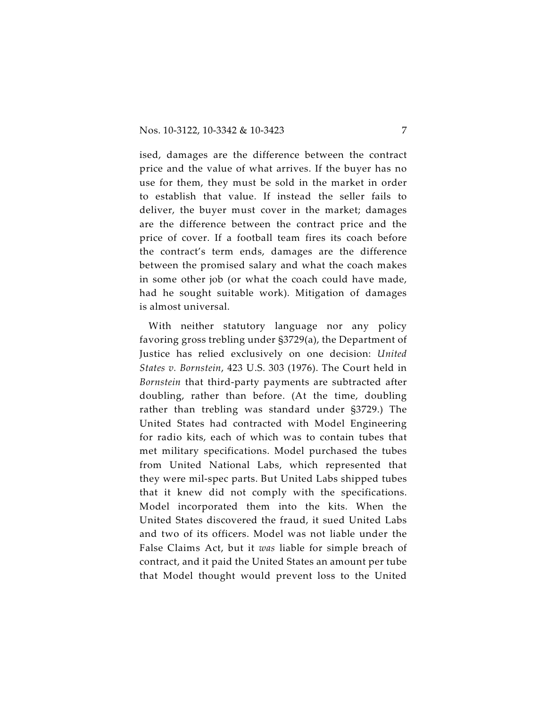ised, damages are the difference between the contract price and the value of what arrives. If the buyer has no use for them, they must be sold in the market in order to establish that value. If instead the seller fails to deliver, the buyer must cover in the market; damages are the difference between the contract price and the price of cover. If a football team fires its coach before the contract's term ends, damages are the difference between the promised salary and what the coach makes in some other job (or what the coach could have made, had he sought suitable work). Mitigation of damages is almost universal.

With neither statutory language nor any policy favoring gross trebling under §3729(a), the Department of Justice has relied exclusively on one decision: *United States v. Bornstein*, 423 U.S. 303 (1976). The Court held in *Bornstein* that third-party payments are subtracted after doubling, rather than before. (At the time, doubling rather than trebling was standard under §3729.) The United States had contracted with Model Engineering for radio kits, each of which was to contain tubes that met military specifications. Model purchased the tubes from United National Labs, which represented that they were mil-spec parts. But United Labs shipped tubes that it knew did not comply with the specifications. Model incorporated them into the kits. When the United States discovered the fraud, it sued United Labs and two of its officers. Model was not liable under the False Claims Act, but it *was* liable for simple breach of contract, and it paid the United States an amount per tube that Model thought would prevent loss to the United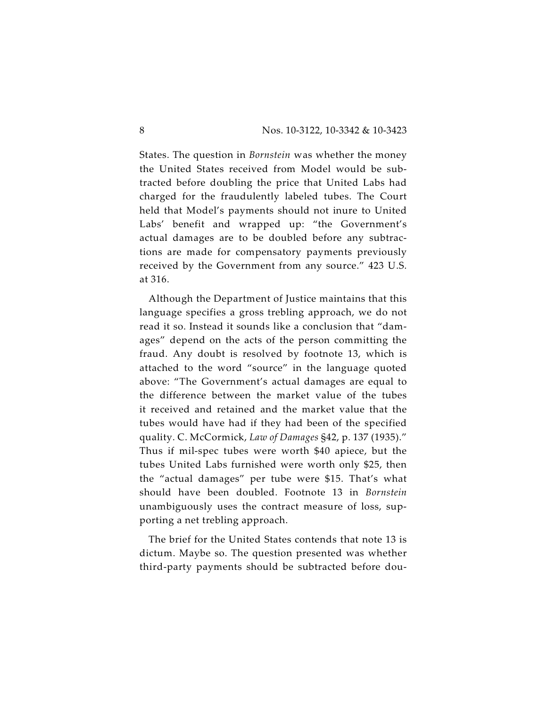States. The question in *Bornstein* was whether the money the United States received from Model would be subtracted before doubling the price that United Labs had charged for the fraudulently labeled tubes. The Court held that Model's payments should not inure to United Labs' benefit and wrapped up: "the Government's actual damages are to be doubled before any subtractions are made for compensatory payments previously received by the Government from any source." 423 U.S. at 316.

Although the Department of Justice maintains that this language specifies a gross trebling approach, we do not read it so. Instead it sounds like a conclusion that "damages" depend on the acts of the person committing the fraud. Any doubt is resolved by footnote 13, which is attached to the word "source" in the language quoted above: "The Government's actual damages are equal to the difference between the market value of the tubes it received and retained and the market value that the tubes would have had if they had been of the specified quality. C. McCormick, *Law of Damages* §42, p. 137 (1935)." Thus if mil-spec tubes were worth \$40 apiece, but the tubes United Labs furnished were worth only \$25, then the "actual damages" per tube were \$15. That's what should have been doubled. Footnote 13 in *Bornstein* unambiguously uses the contract measure of loss, supporting a net trebling approach.

The brief for the United States contends that note 13 is dictum. Maybe so. The question presented was whether third-party payments should be subtracted before dou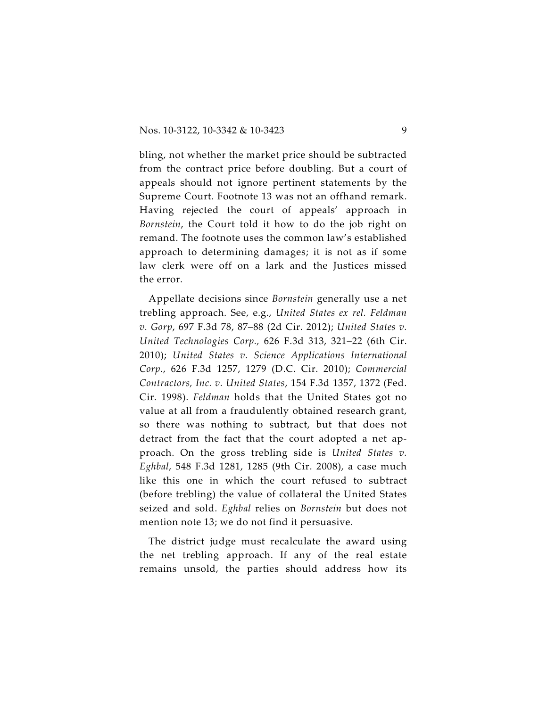bling, not whether the market price should be subtracted from the contract price before doubling. But a court of appeals should not ignore pertinent statements by the Supreme Court. Footnote 13 was not an offhand remark. Having rejected the court of appeals' approach in *Bornstein*, the Court told it how to do the job right on remand. The footnote uses the common law's established approach to determining damages; it is not as if some law clerk were off on a lark and the Justices missed the error.

Appellate decisions since *Bornstein* generally use a net trebling approach. See, e.g., *United States ex rel. Feldman v. Gorp*, 697 F.3d 78, 87–88 (2d Cir. 2012); *United States v. United Technologies Corp.,* 626 F.3d 313, 321–22 (6th Cir. 2010); *United States v. Science Applications International Corp*., 626 F.3d 1257, 1279 (D.C. Cir. 2010); *Commercial Contractors, Inc. v. United States*, 154 F.3d 1357, 1372 (Fed. Cir. 1998). *Feldman* holds that the United States got no value at all from a fraudulently obtained research grant, so there was nothing to subtract, but that does not detract from the fact that the court adopted a net approach. On the gross trebling side is *United States v. Eghbal*, 548 F.3d 1281, 1285 (9th Cir. 2008), a case much like this one in which the court refused to subtract (before trebling) the value of collateral the United States seized and sold. *Eghbal* relies on *Bornstein* but does not mention note 13; we do not find it persuasive.

The district judge must recalculate the award using the net trebling approach. If any of the real estate remains unsold, the parties should address how its